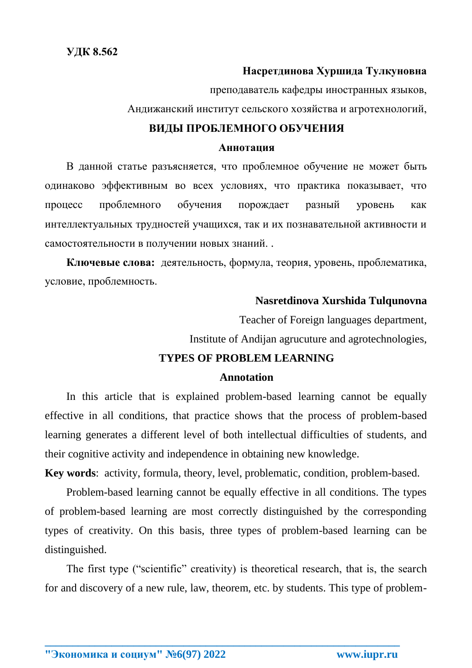# Насретдинова Хуршида Тулкуновна

преподаватель кафедры иностранных языков,

Андижанский институт сельского хозяйства и агротехнологий,

#### ВИДЫ ПРОБЛЕМНОГО ОБУЧЕНИЯ

#### Аннотация

В данной статье разъясняется, что проблемное обучение не может быть одинаково эффективным во всех условиях, что практика показывает, что проблемного обучения порождает процесс разный уровень как интеллектуальных трудностей учащихся, так и их познавательной активности и самостоятельности в получении новых знаний. .

Ключевые слова: деятельность, формула, теория, уровень, проблематика, условие, проблемность.

## Nasretdinova Xurshida Tulqunovna

Teacher of Foreign languages department,

Institute of Andijan agrucuture and agrotechnologies,

## **TYPES OF PROBLEM LEARNING**

#### **Annotation**

In this article that is explained problem-based learning cannot be equally effective in all conditions, that practice shows that the process of problem-based learning generates a different level of both intellectual difficulties of students, and their cognitive activity and independence in obtaining new knowledge.

Key words: activity, formula, theory, level, problematic, condition, problem-based.

Problem-based learning cannot be equally effective in all conditions. The types of problem-based learning are most correctly distinguished by the corresponding types of creativity. On this basis, three types of problem-based learning can be distinguished.

The first type ("scientific" creativity) is theoretical research, that is, the search for and discovery of a new rule, law, theorem, etc. by students. This type of problem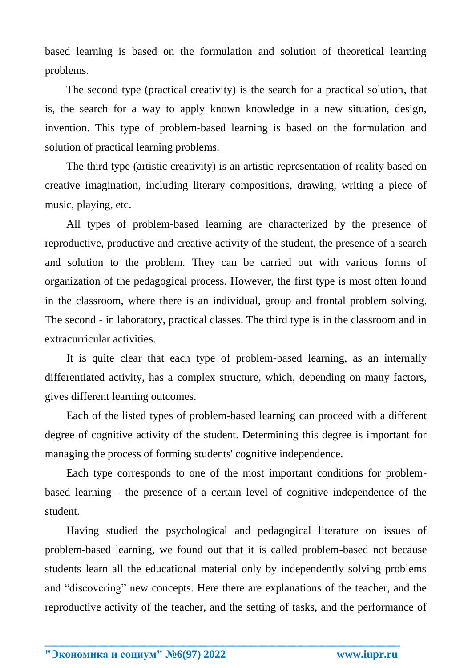based learning is based on the formulation and solution of theoretical learning problems.

The second type (practical creativity) is the search for a practical solution, that is, the search for a way to apply known knowledge in a new situation, design, invention. This type of problem-based learning is based on the formulation and solution of practical learning problems.

The third type (artistic creativity) is an artistic representation of reality based on creative imagination, including literary compositions, drawing, writing a piece of music, playing, etc.

All types of problem-based learning are characterized by the presence of reproductive, productive and creative activity of the student, the presence of a search and solution to the problem. They can be carried out with various forms of organization of the pedagogical process. However, the first type is most often found in the classroom, where there is an individual, group and frontal problem solving. The second - in laboratory, practical classes. The third type is in the classroom and in extracurricular activities.

It is quite clear that each type of problem-based learning, as an internally differentiated activity, has a complex structure, which, depending on many factors, gives different learning outcomes.

Each of the listed types of problem-based learning can proceed with a different degree of cognitive activity of the student. Determining this degree is important for managing the process of forming students' cognitive independence.

Each type corresponds to one of the most important conditions for problembased learning - the presence of a certain level of cognitive independence of the student.

Having studied the psychological and pedagogical literature on issues of problem-based learning, we found out that it is called problem-based not because students learn all the educational material only by independently solving problems and "discovering" new concepts. Here there are explanations of the teacher, and the reproductive activity of the teacher, and the setting of tasks, and the performance of

**\_\_\_\_\_\_\_\_\_\_\_\_\_\_\_\_\_\_\_\_\_\_\_\_\_\_\_\_\_\_\_\_\_\_\_\_\_\_\_\_\_\_\_\_\_\_\_\_\_\_\_\_\_\_\_\_\_\_\_\_\_\_\_\_**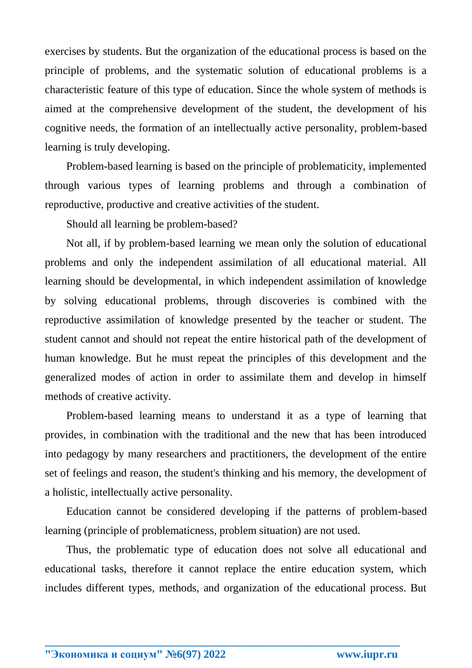exercises by students. But the organization of the educational process is based on the principle of problems, and the systematic solution of educational problems is a characteristic feature of this type of education. Since the whole system of methods is aimed at the comprehensive development of the student, the development of his cognitive needs, the formation of an intellectually active personality, problem-based learning is truly developing.

Problem-based learning is based on the principle of problematicity, implemented through various types of learning problems and through a combination of reproductive, productive and creative activities of the student.

Should all learning be problem-based?

Not all, if by problem-based learning we mean only the solution of educational problems and only the independent assimilation of all educational material. All learning should be developmental, in which independent assimilation of knowledge by solving educational problems, through discoveries is combined with the reproductive assimilation of knowledge presented by the teacher or student. The student cannot and should not repeat the entire historical path of the development of human knowledge. But he must repeat the principles of this development and the generalized modes of action in order to assimilate them and develop in himself methods of creative activity.

Problem-based learning means to understand it as a type of learning that provides, in combination with the traditional and the new that has been introduced into pedagogy by many researchers and practitioners, the development of the entire set of feelings and reason, the student's thinking and his memory, the development of a holistic, intellectually active personality.

Education cannot be considered developing if the patterns of problem-based learning (principle of problematicness, problem situation) are not used.

Thus, the problematic type of education does not solve all educational and educational tasks, therefore it cannot replace the entire education system, which includes different types, methods, and organization of the educational process. But

**\_\_\_\_\_\_\_\_\_\_\_\_\_\_\_\_\_\_\_\_\_\_\_\_\_\_\_\_\_\_\_\_\_\_\_\_\_\_\_\_\_\_\_\_\_\_\_\_\_\_\_\_\_\_\_\_\_\_\_\_\_\_\_\_**